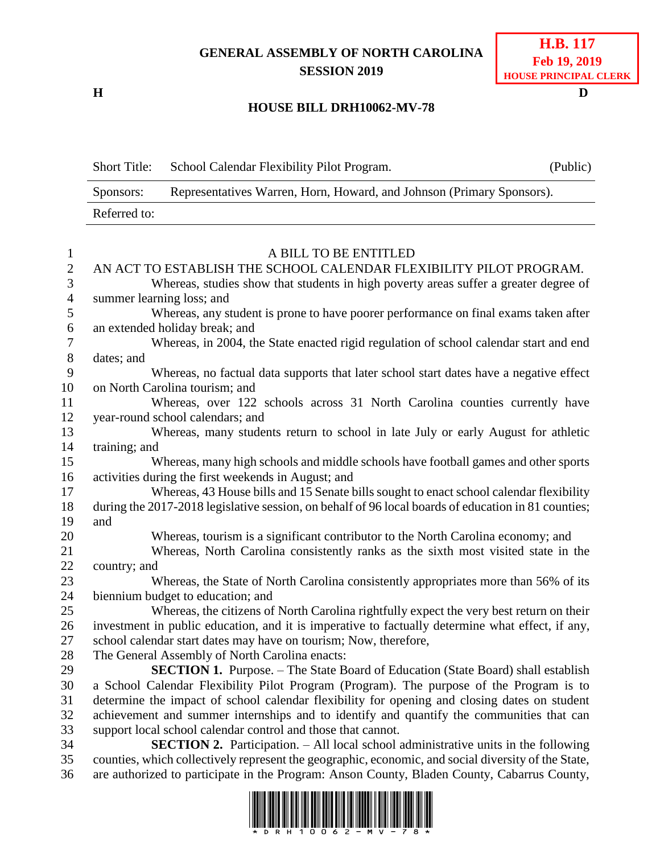## **GENERAL ASSEMBLY OF NORTH CAROLINA SESSION 2019**

**H D**

## **H.B. 117 Feb 19, 2019 HOUSE PRINCIPAL CLERK**

## **HOUSE BILL DRH10062-MV-78**

|                          | <b>Short Title:</b>                                                                                 | School Calendar Flexibility Pilot Program.                                                          | (Public) |  |
|--------------------------|-----------------------------------------------------------------------------------------------------|-----------------------------------------------------------------------------------------------------|----------|--|
|                          | Representatives Warren, Horn, Howard, and Johnson (Primary Sponsors).<br>Sponsors:                  |                                                                                                     |          |  |
|                          | Referred to:                                                                                        |                                                                                                     |          |  |
| $\mathbf{1}$             | A BILL TO BE ENTITLED                                                                               |                                                                                                     |          |  |
| $\sqrt{2}$               |                                                                                                     | AN ACT TO ESTABLISH THE SCHOOL CALENDAR FLEXIBILITY PILOT PROGRAM.                                  |          |  |
| 3                        |                                                                                                     | Whereas, studies show that students in high poverty areas suffer a greater degree of                |          |  |
| $\overline{\mathcal{L}}$ |                                                                                                     | summer learning loss; and                                                                           |          |  |
| 5                        |                                                                                                     | Whereas, any student is prone to have poorer performance on final exams taken after                 |          |  |
| 6                        |                                                                                                     | an extended holiday break; and                                                                      |          |  |
| $\boldsymbol{7}$         |                                                                                                     | Whereas, in 2004, the State enacted rigid regulation of school calendar start and end               |          |  |
| $8\,$                    |                                                                                                     | dates; and                                                                                          |          |  |
| 9                        |                                                                                                     | Whereas, no factual data supports that later school start dates have a negative effect              |          |  |
| 10                       |                                                                                                     | on North Carolina tourism; and                                                                      |          |  |
| 11                       |                                                                                                     | Whereas, over 122 schools across 31 North Carolina counties currently have                          |          |  |
| 12                       |                                                                                                     | year-round school calendars; and                                                                    |          |  |
| 13                       |                                                                                                     | Whereas, many students return to school in late July or early August for athletic                   |          |  |
| 14                       |                                                                                                     | training; and                                                                                       |          |  |
| 15                       |                                                                                                     | Whereas, many high schools and middle schools have football games and other sports                  |          |  |
| 16                       |                                                                                                     | activities during the first weekends in August; and                                                 |          |  |
| 17                       |                                                                                                     | Whereas, 43 House bills and 15 Senate bills sought to enact school calendar flexibility             |          |  |
| 18                       | during the 2017-2018 legislative session, on behalf of 96 local boards of education in 81 counties; |                                                                                                     |          |  |
| 19                       | and                                                                                                 |                                                                                                     |          |  |
| 20                       |                                                                                                     | Whereas, tourism is a significant contributor to the North Carolina economy; and                    |          |  |
| 21                       |                                                                                                     | Whereas, North Carolina consistently ranks as the sixth most visited state in the                   |          |  |
| 22                       | country; and                                                                                        |                                                                                                     |          |  |
| 23                       |                                                                                                     | Whereas, the State of North Carolina consistently appropriates more than 56% of its                 |          |  |
| 24                       |                                                                                                     | biennium budget to education; and                                                                   |          |  |
| 25                       |                                                                                                     | Whereas, the citizens of North Carolina rightfully expect the very best return on their             |          |  |
| 26                       |                                                                                                     | investment in public education, and it is imperative to factually determine what effect, if any,    |          |  |
| $27\,$                   |                                                                                                     | school calendar start dates may have on tourism; Now, therefore,                                    |          |  |
| 28                       |                                                                                                     | The General Assembly of North Carolina enacts:                                                      |          |  |
| 29                       |                                                                                                     | <b>SECTION 1.</b> Purpose. – The State Board of Education (State Board) shall establish             |          |  |
| 30                       |                                                                                                     | a School Calendar Flexibility Pilot Program (Program). The purpose of the Program is to             |          |  |
| 31                       |                                                                                                     | determine the impact of school calendar flexibility for opening and closing dates on student        |          |  |
| 32                       |                                                                                                     | achievement and summer internships and to identify and quantify the communities that can            |          |  |
| 33                       |                                                                                                     | support local school calendar control and those that cannot.                                        |          |  |
| 34                       |                                                                                                     | <b>SECTION 2.</b> Participation. - All local school administrative units in the following           |          |  |
| 35                       |                                                                                                     | counties, which collectively represent the geographic, economic, and social diversity of the State, |          |  |
| 36                       |                                                                                                     | are authorized to participate in the Program: Anson County, Bladen County, Cabarrus County,         |          |  |